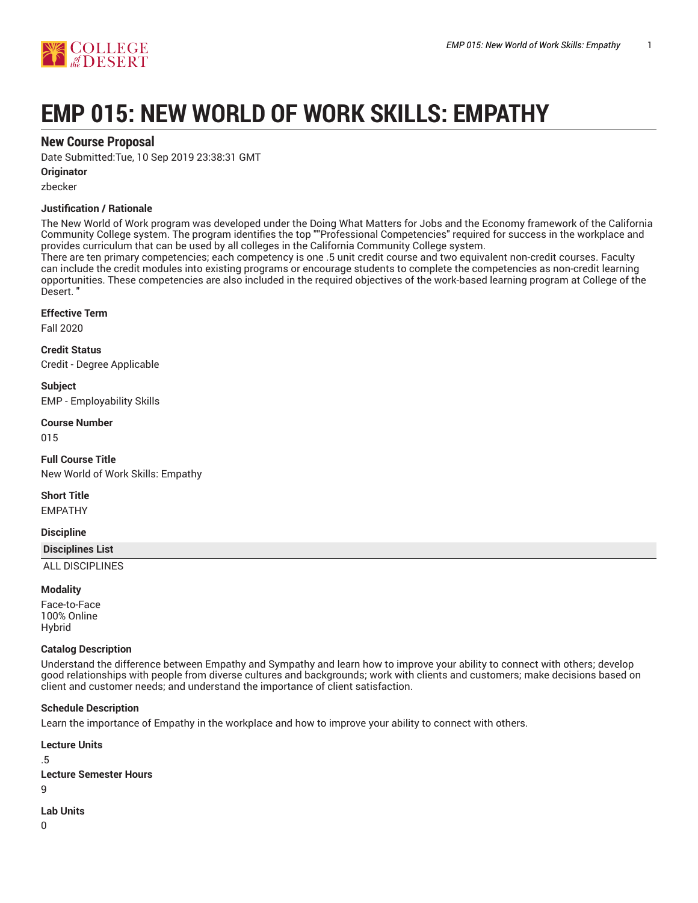

# **EMP 015: NEW WORLD OF WORK SKILLS: EMPATHY**

# **New Course Proposal**

Date Submitted:Tue, 10 Sep 2019 23:38:31 GMT

# **Originator**

zbecker

# **Justification / Rationale**

The New World of Work program was developed under the Doing What Matters for Jobs and the Economy framework of the California Community College system. The program identifies the top ""Professional Competencies" required for success in the workplace and provides curriculum that can be used by all colleges in the California Community College system.

There are ten primary competencies; each competency is one .5 unit credit course and two equivalent non-credit courses. Faculty can include the credit modules into existing programs or encourage students to complete the competencies as non-credit learning opportunities. These competencies are also included in the required objectives of the work-based learning program at College of the Desert. "

# **Effective Term**

Fall 2020

**Credit Status** Credit - Degree Applicable

**Subject** EMP - Employability Skills

# **Course Number**

015

**Full Course Title** New World of Work Skills: Empathy

**Short Title**

EMPATHY

# **Discipline**

**Disciplines List**

ALL DISCIPLINES

# **Modality**

Face-to-Face 100% Online Hybrid

# **Catalog Description**

Understand the difference between Empathy and Sympathy and learn how to improve your ability to connect with others; develop good relationships with people from diverse cultures and backgrounds; work with clients and customers; make decisions based on client and customer needs; and understand the importance of client satisfaction.

# **Schedule Description**

Learn the importance of Empathy in the workplace and how to improve your ability to connect with others.

**Lecture Units** .5

**Lecture Semester Hours**

 $\alpha$ 

**Lab Units**

 $\Omega$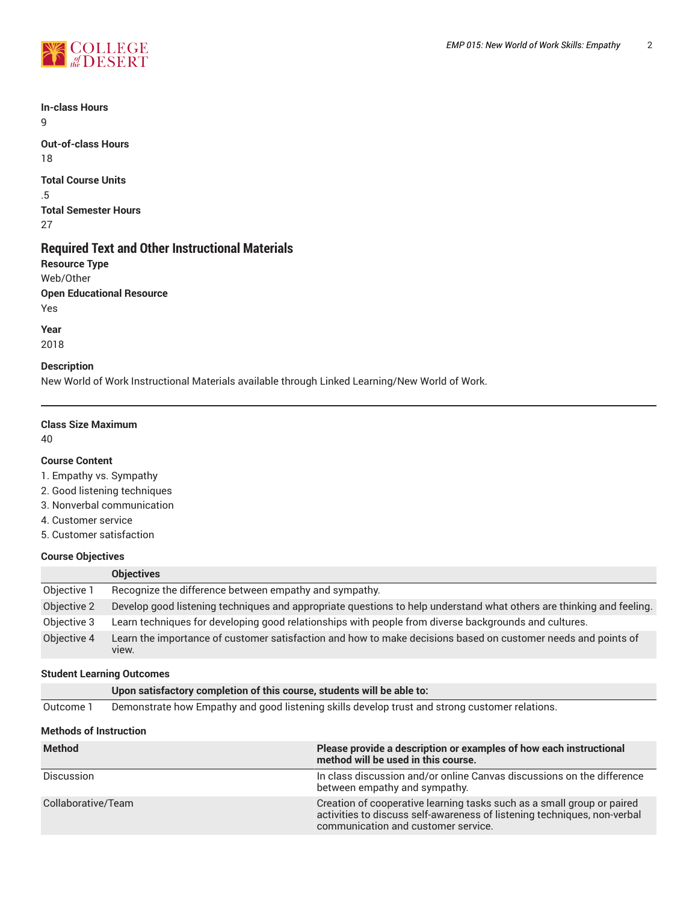

**In-class Hours** 9

**Out-of-class Hours** 18

**Total Course Units** .5 **Total Semester Hours** 27

# **Required Text and Other Instructional Materials**

**Resource Type** Web/Other **Open Educational Resource** Yes

**Year** 2018

# **Description**

New World of Work Instructional Materials available through Linked Learning/New World of Work.

# **Class Size Maximum**

40

# **Course Content**

1. Empathy vs. Sympathy

- 2. Good listening techniques
- 3. Nonverbal communication
- 4. Customer service
- 5. Customer satisfaction

# **Course Objectives**

|             | <b>Objectives</b>                                                                                                      |
|-------------|------------------------------------------------------------------------------------------------------------------------|
| Objective 1 | Recognize the difference between empathy and sympathy.                                                                 |
| Objective 2 | Develop good listening techniques and appropriate questions to help understand what others are thinking and feeling.   |
| Objective 3 | Learn techniques for developing good relationships with people from diverse backgrounds and cultures.                  |
| Objective 4 | Learn the importance of customer satisfaction and how to make decisions based on customer needs and points of<br>view. |

# **Student Learning Outcomes**

|           | Upon satisfactory completion of this course, students will be able to:                         |
|-----------|------------------------------------------------------------------------------------------------|
| Outcome 1 | Demonstrate how Empathy and good listening skills develop trust and strong customer relations. |

# **Methods of Instruction**

| <b>Method</b>      | Please provide a description or examples of how each instructional<br>method will be used in this course.                                                                                 |
|--------------------|-------------------------------------------------------------------------------------------------------------------------------------------------------------------------------------------|
| Discussion         | In class discussion and/or online Canvas discussions on the difference<br>between empathy and sympathy.                                                                                   |
| Collaborative/Team | Creation of cooperative learning tasks such as a small group or paired<br>activities to discuss self-awareness of listening techniques, non-verbal<br>communication and customer service. |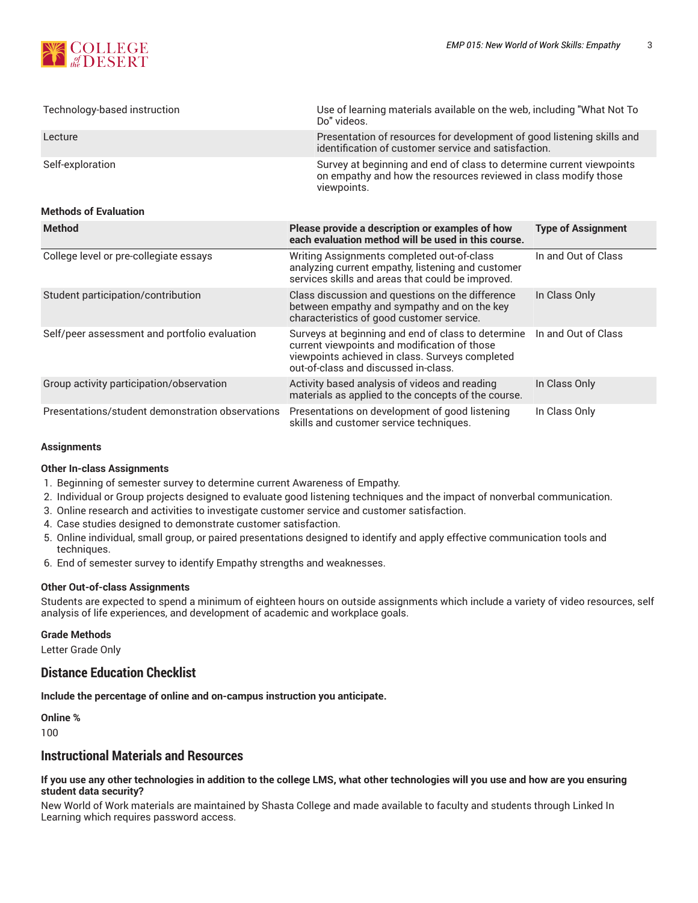

| Technology-based instruction                     | Use of learning materials available on the web, including "What Not To<br>Do" videos.                                                                                                         |                           |  |
|--------------------------------------------------|-----------------------------------------------------------------------------------------------------------------------------------------------------------------------------------------------|---------------------------|--|
| Lecture                                          | Presentation of resources for development of good listening skills and<br>identification of customer service and satisfaction.                                                                |                           |  |
| Self-exploration                                 | Survey at beginning and end of class to determine current viewpoints<br>on empathy and how the resources reviewed in class modify those<br>viewpoints.                                        |                           |  |
| <b>Methods of Evaluation</b>                     |                                                                                                                                                                                               |                           |  |
| <b>Method</b>                                    | Please provide a description or examples of how<br>each evaluation method will be used in this course.                                                                                        | <b>Type of Assignment</b> |  |
| College level or pre-collegiate essays           | Writing Assignments completed out-of-class<br>analyzing current empathy, listening and customer<br>services skills and areas that could be improved.                                          | In and Out of Class       |  |
| Student participation/contribution               | Class discussion and questions on the difference<br>between empathy and sympathy and on the key<br>characteristics of good customer service.                                                  | In Class Only             |  |
| Self/peer assessment and portfolio evaluation    | Surveys at beginning and end of class to determine<br>current viewpoints and modification of those<br>viewpoints achieved in class. Surveys completed<br>out-of-class and discussed in-class. | In and Out of Class       |  |
| Group activity participation/observation         | Activity based analysis of videos and reading<br>materials as applied to the concepts of the course.                                                                                          | In Class Only             |  |
| Presentations/student demonstration observations | Presentations on development of good listening<br>skills and customer service techniques.                                                                                                     | In Class Only             |  |

#### **Assignments**

# **Other In-class Assignments**

- 1. Beginning of semester survey to determine current Awareness of Empathy.
- 2. Individual or Group projects designed to evaluate good listening techniques and the impact of nonverbal communication.
- 3. Online research and activities to investigate customer service and customer satisfaction.
- 4. Case studies designed to demonstrate customer satisfaction.
- 5. Online individual, small group, or paired presentations designed to identify and apply effective communication tools and techniques.
- 6. End of semester survey to identify Empathy strengths and weaknesses.

#### **Other Out-of-class Assignments**

Students are expected to spend a minimum of eighteen hours on outside assignments which include a variety of video resources, self analysis of life experiences, and development of academic and workplace goals.

#### **Grade Methods**

Letter Grade Only

# **Distance Education Checklist**

**Include the percentage of online and on-campus instruction you anticipate.**

**Online %**

100

# **Instructional Materials and Resources**

#### If you use any other technologies in addition to the college LMS, what other technologies will you use and how are you ensuring **student data security?**

New World of Work materials are maintained by Shasta College and made available to faculty and students through Linked In Learning which requires password access.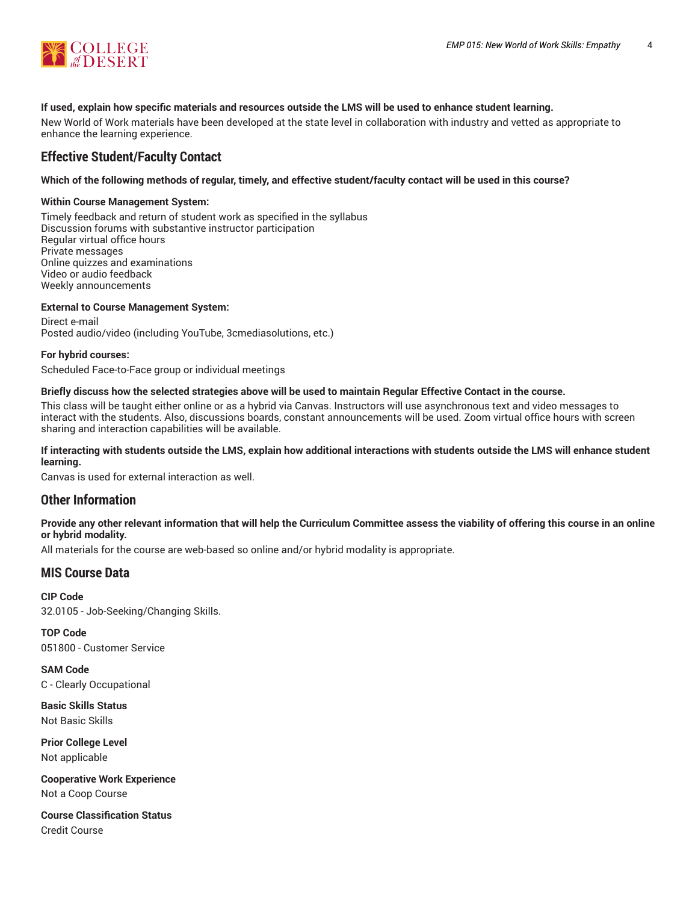

# **If used, explain how specific materials and resources outside the LMS will be used to enhance student learning.**

New World of Work materials have been developed at the state level in collaboration with industry and vetted as appropriate to enhance the learning experience.

# **Effective Student/Faculty Contact**

# Which of the following methods of regular, timely, and effective student/faculty contact will be used in this course?

# **Within Course Management System:**

Timely feedback and return of student work as specified in the syllabus Discussion forums with substantive instructor participation Regular virtual office hours Private messages Online quizzes and examinations Video or audio feedback Weekly announcements

# **External to Course Management System:**

Direct e-mail Posted audio/video (including YouTube, 3cmediasolutions, etc.)

# **For hybrid courses:**

Scheduled Face-to-Face group or individual meetings

# Briefly discuss how the selected strategies above will be used to maintain Regular Effective Contact in the course.

This class will be taught either online or as a hybrid via Canvas. Instructors will use asynchronous text and video messages to interact with the students. Also, discussions boards, constant announcements will be used. Zoom virtual office hours with screen sharing and interaction capabilities will be available.

# **If interacting with students outside the LMS, explain how additional interactions with students outside the LMS will enhance student learning.**

Canvas is used for external interaction as well.

# **Other Information**

# Provide any other relevant information that will help the Curriculum Committee assess the viability of offering this course in an online **or hybrid modality.**

All materials for the course are web-based so online and/or hybrid modality is appropriate.

# **MIS Course Data**

**CIP Code** 32.0105 - Job-Seeking/Changing Skills.

**TOP Code** 051800 - Customer Service

**SAM Code** C - Clearly Occupational

**Basic Skills Status** Not Basic Skills

**Prior College Level** Not applicable

**Cooperative Work Experience** Not a Coop Course

**Course Classification Status** Credit Course